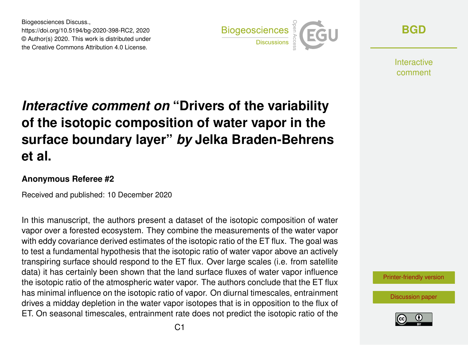Biogeosciences Discuss., https://doi.org/10.5194/bg-2020-398-RC2, 2020 © Author(s) 2020. This work is distributed under the Creative Commons Attribution 4.0 License.



**[BGD](https://bg.copernicus.org/preprints/)**

Interactive comment

# *Interactive comment on* **"Drivers of the variability of the isotopic composition of water vapor in the surface boundary layer"** *by* **Jelka Braden-Behrens et al.**

#### **Anonymous Referee #2**

Received and published: 10 December 2020

In this manuscript, the authors present a dataset of the isotopic composition of water vapor over a forested ecosystem. They combine the measurements of the water vapor with eddy covariance derived estimates of the isotopic ratio of the ET flux. The goal was to test a fundamental hypothesis that the isotopic ratio of water vapor above an actively transpiring surface should respond to the ET flux. Over large scales (i.e. from satellite data) it has certainly been shown that the land surface fluxes of water vapor influence the isotopic ratio of the atmospheric water vapor. The authors conclude that the ET flux has minimal influence on the isotopic ratio of vapor. On diurnal timescales, entrainment drives a midday depletion in the water vapor isotopes that is in opposition to the flux of ET. On seasonal timescales, entrainment rate does not predict the isotopic ratio of the

[Printer-friendly version](https://bg.copernicus.org/preprints/bg-2020-398/bg-2020-398-RC2-print.pdf)

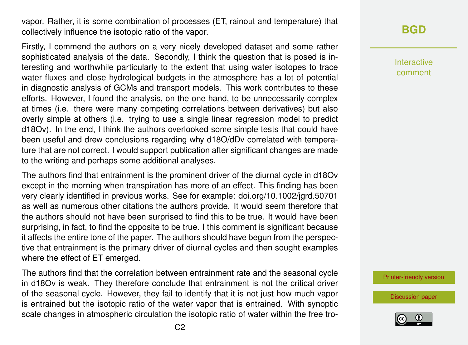vapor. Rather, it is some combination of processes (ET, rainout and temperature) that collectively influence the isotopic ratio of the vapor.

Firstly, I commend the authors on a very nicely developed dataset and some rather sophisticated analysis of the data. Secondly, I think the question that is posed is interesting and worthwhile particularly to the extent that using water isotopes to trace water fluxes and close hydrological budgets in the atmosphere has a lot of potential in diagnostic analysis of GCMs and transport models. This work contributes to these efforts. However, I found the analysis, on the one hand, to be unnecessarily complex at times (i.e. there were many competing correlations between derivatives) but also overly simple at others (i.e. trying to use a single linear regression model to predict d18Ov). In the end, I think the authors overlooked some simple tests that could have been useful and drew conclusions regarding why d18O/dDv correlated with temperature that are not correct. I would support publication after significant changes are made to the writing and perhaps some additional analyses.

The authors find that entrainment is the prominent driver of the diurnal cycle in d18Ov except in the morning when transpiration has more of an effect. This finding has been very clearly identified in previous works. See for example: doi.org/10.1002/jgrd.50701 as well as numerous other citations the authors provide. It would seem therefore that the authors should not have been surprised to find this to be true. It would have been surprising, in fact, to find the opposite to be true. I this comment is significant because it affects the entire tone of the paper. The authors should have begun from the perspective that entrainment is the primary driver of diurnal cycles and then sought examples where the effect of ET emerged.

The authors find that the correlation between entrainment rate and the seasonal cycle in d18Ov is weak. They therefore conclude that entrainment is not the critical driver of the seasonal cycle. However, they fail to identify that it is not just how much vapor is entrained but the isotopic ratio of the water vapor that is entrained. With synoptic scale changes in atmospheric circulation the isotopic ratio of water within the free tro-

## **[BGD](https://bg.copernicus.org/preprints/)**

Interactive comment

[Printer-friendly version](https://bg.copernicus.org/preprints/bg-2020-398/bg-2020-398-RC2-print.pdf)

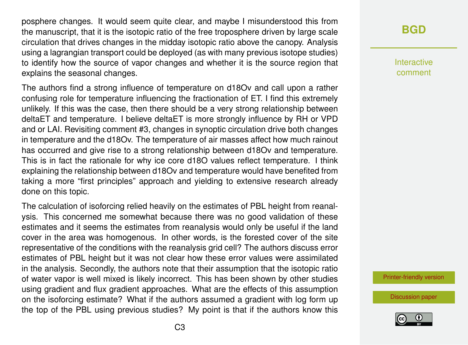posphere changes. It would seem quite clear, and maybe I misunderstood this from the manuscript, that it is the isotopic ratio of the free troposphere driven by large scale circulation that drives changes in the midday isotopic ratio above the canopy. Analysis using a lagrangian transport could be deployed (as with many previous isotope studies) to identify how the source of vapor changes and whether it is the source region that explains the seasonal changes.

The authors find a strong influence of temperature on d18Ov and call upon a rather confusing role for temperature influencing the fractionation of ET. I find this extremely unlikely. If this was the case, then there should be a very strong relationship between deltaET and temperature. I believe deltaET is more strongly influence by RH or VPD and or LAI. Revisiting comment #3, changes in synoptic circulation drive both changes in temperature and the d18Ov. The temperature of air masses affect how much rainout has occurred and give rise to a strong relationship between d18Ov and temperature. This is in fact the rationale for why ice core d18O values reflect temperature. I think explaining the relationship between d18Ov and temperature would have benefited from taking a more "first principles" approach and yielding to extensive research already done on this topic.

The calculation of isoforcing relied heavily on the estimates of PBL height from reanalysis. This concerned me somewhat because there was no good validation of these estimates and it seems the estimates from reanalysis would only be useful if the land cover in the area was homogenous. In other words, is the forested cover of the site representative of the conditions with the reanalysis grid cell? The authors discuss error estimates of PBL height but it was not clear how these error values were assimilated in the analysis. Secondly, the authors note that their assumption that the isotopic ratio of water vapor is well mixed is likely incorrect. This has been shown by other studies using gradient and flux gradient approaches. What are the effects of this assumption on the isoforcing estimate? What if the authors assumed a gradient with log form up the top of the PBL using previous studies? My point is that if the authors know this

### **[BGD](https://bg.copernicus.org/preprints/)**

Interactive comment

[Printer-friendly version](https://bg.copernicus.org/preprints/bg-2020-398/bg-2020-398-RC2-print.pdf)

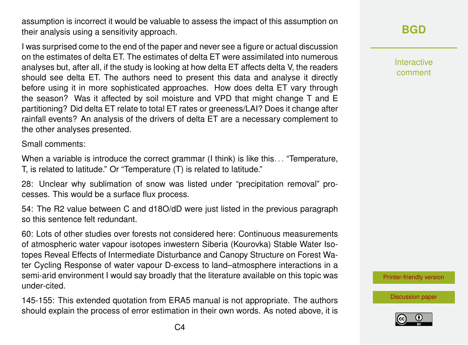assumption is incorrect it would be valuable to assess the impact of this assumption on their analysis using a sensitivity approach.

I was surprised come to the end of the paper and never see a figure or actual discussion on the estimates of delta ET. The estimates of delta ET were assimilated into numerous analyses but, after all, if the study is looking at how delta ET affects delta V, the readers should see delta ET. The authors need to present this data and analyse it directly before using it in more sophisticated approaches. How does delta ET vary through the season? Was it affected by soil moisture and VPD that might change T and E partitioning? Did delta ET relate to total ET rates or greeness/LAI? Does it change after rainfall events? An analysis of the drivers of delta ET are a necessary complement to the other analyses presented.

Small comments:

When a variable is introduce the correct grammar (I think) is like this... "Temperature, T, is related to latitude." Or "Temperature (T) is related to latitude."

28: Unclear why sublimation of snow was listed under "precipitation removal" processes. This would be a surface flux process.

54: The R2 value between C and d18O/dD were just listed in the previous paragraph so this sentence felt redundant.

60: Lots of other studies over forests not considered here: Continuous measurements of atmospheric water vapour isotopes inwestern Siberia (Kourovka) Stable Water Isotopes Reveal Effects of Intermediate Disturbance and Canopy Structure on Forest Water Cycling Response of water vapour D-excess to land–atmosphere interactions in a semi-arid environment I would say broadly that the literature available on this topic was under-cited.

145-155: This extended quotation from ERA5 manual is not appropriate. The authors should explain the process of error estimation in their own words. As noted above, it is **[BGD](https://bg.copernicus.org/preprints/)**

Interactive comment

[Printer-friendly version](https://bg.copernicus.org/preprints/bg-2020-398/bg-2020-398-RC2-print.pdf)

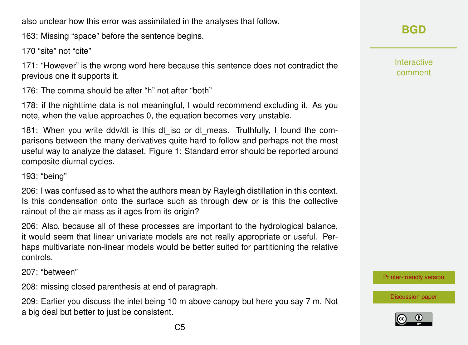also unclear how this error was assimilated in the analyses that follow.

163: Missing "space" before the sentence begins.

170 "site" not "cite"

171: "However" is the wrong word here because this sentence does not contradict the previous one it supports it.

176: The comma should be after "h" not after "both"

178: if the nighttime data is not meaningful, I would recommend excluding it. As you note, when the value approaches 0, the equation becomes very unstable.

181: When you write ddv/dt is this dt iso or dt meas. Truthfully, I found the comparisons between the many derivatives quite hard to follow and perhaps not the most useful way to analyze the dataset. Figure 1: Standard error should be reported around composite diurnal cycles.

193: "being"

206: I was confused as to what the authors mean by Rayleigh distillation in this context. Is this condensation onto the surface such as through dew or is this the collective rainout of the air mass as it ages from its origin?

206: Also, because all of these processes are important to the hydrological balance, it would seem that linear univariate models are not really appropriate or useful. Perhaps multivariate non-linear models would be better suited for partitioning the relative controls.

207: "between"

208: missing closed parenthesis at end of paragraph.

209: Earlier you discuss the inlet being 10 m above canopy but here you say 7 m. Not a big deal but better to just be consistent.

Interactive comment

[Printer-friendly version](https://bg.copernicus.org/preprints/bg-2020-398/bg-2020-398-RC2-print.pdf)